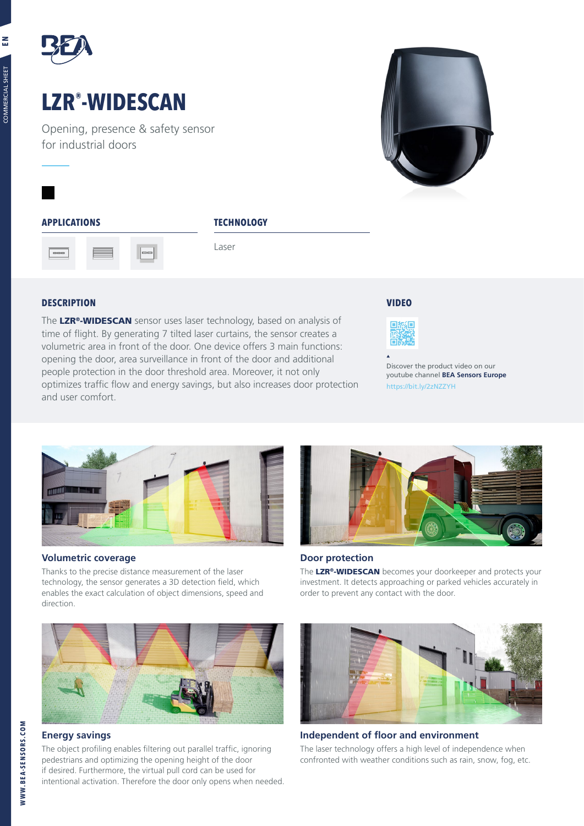

# **LZR® -WIDESCAN**

Opening, presence & safety sensor for industrial doors



# **APPLICATIONS TECHNOLOGY**



Laser

# **DESCRIPTION VIDEO**

The LZR<sup>®</sup>-WIDESCAN sensor uses laser technology, based on analysis of time of flight. By generating 7 tilted laser curtains, the sensor creates a volumetric area in front of the door. One device offers 3 main functions: opening the door, area surveillance in front of the door and additional people protection in the door threshold area. Moreover, it not only optimizes traffic flow and energy savings, but also increases door protection and user comfort.



Discover the product video on our youtube channel **BEA Sensors Europe** https://bit.ly/2zNZZYH



# **Volumetric coverage**

Thanks to the precise distance measurement of the laser technology, the sensor generates a 3D detection field, which enables the exact calculation of object dimensions, speed and direction.



# **Energy savings**

The object profiling enables filtering out parallel traffic, ignoring pedestrians and optimizing the opening height of the door if desired. Furthermore, the virtual pull cord can be used for intentional activation. Therefore the door only opens when needed.



# **Door protection**

The LZR®-WIDESCAN becomes your doorkeeper and protects your investment. It detects approaching or parked vehicles accurately in order to prevent any contact with the door.



**Independent of floor and environment**

The laser technology offers a high level of independence when confronted with weather conditions such as rain, snow, fog, etc.